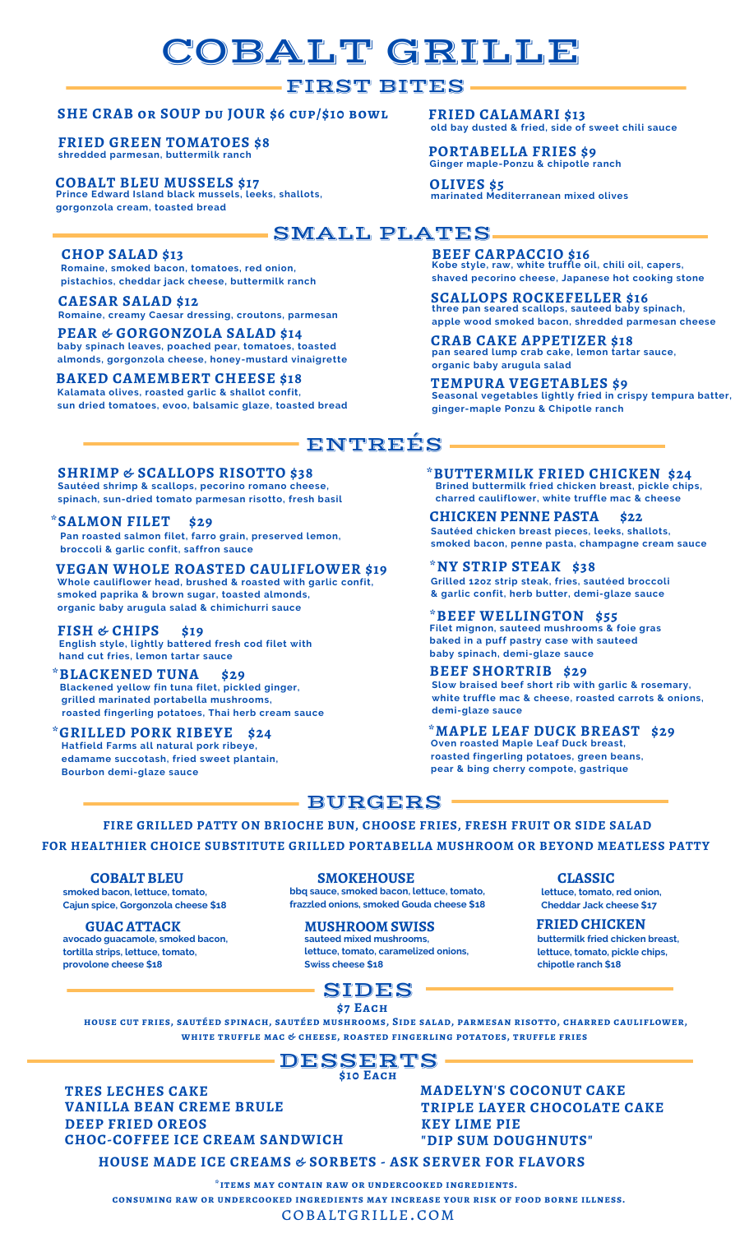# COBALT GRILLE

## FIRST BITES

### **SHE CRAB or SOUP du JOUR \$6 cup/\$10 bowl**

**shredded parmesan, buttermilk ranch FRIED GREEN TOMATOES \$8**

**COBALT BLEU MUSSELS \$17 Prince Edward Island black mussels, leeks, shallots, gorgonzola cream, toasted bread**

**FRIED CALAMARI \$13 old bay dusted & fried, side of sweet chili sauce**

#### **PORTABELLA FRIES \$9 Ginger maple-Ponzu & chipotle ranch**

**OLIVES \$5 marinated Mediterranean mixed olives**

**CRAB CAKE APPETIZER \$18**

**ginger-maple Ponzu & Chipotle ranch**

**organic baby arugula salad**

SMALL PLATES

ENTREÉS.

### **CHOP SALAD \$13**

**Romaine, smoked bacon, tomatoes, red onion, pistachios, cheddar jack cheese, buttermilk ranch**

### **CAESAR SALAD \$12**

**Romaine, creamy Caesar dressing, croutons, parmesan**

#### **PEAR & GORGONZOLA SALAD \$14 baby spinach leaves, poached pear, tomatoes, toasted almonds, gorgonzola cheese, honey-mustard vinaigrette**

**BAKED CAMEMBERT CHEESE \$18 Kalamata olives, roasted garlic & shallot confit, sun dried tomatoes, evoo, balsamic glaze, toasted bread**

**FISH & CHIPS \$19 English style, lightly battered fresh cod filet with**

**Blackened yellow fin tuna filet, pickled ginger, grilled marinated portabella mushrooms,**

**\*GRILLED PORK RIBEYE \$24**

**Hatfield Farms all natural pork ribeye, edamame succotash, fried sweet plantain,**

**roasted fingerling potatoes, Thai herb cream sauce**

**smoked paprika & brown sugar, toasted almonds, organic baby arugula salad & chimichurri sauce**

**hand cut fries, lemon tartar sauce**

**\*BLACKENED TUNA \$29**

**broccoli & garlic confit, saffron sauce**

**SHRIMP & SCALLOPS RISOTTO \$38**

**Sautéed shrimp & scallops, pecorino romano cheese, spinach, sun-dried tomato parmesan risotto, fresh basil**

**Pan roasted salmon filet, farro grain, preserved lemon,**

**Whole cauliflower head, brushed & roasted with garlic confit,**

**\*BUTTERMILK FRIED CHICKEN \$24 Brined buttermilk fried chicken breast, pickle chips,**

**charred cauliflower, white truffle mac & cheese**

**SCALLOPS ROCKEFELLER \$16 three pan seared scallops, sauteed baby spinach,**

**pan seared lump crab cake, lemon tartar sauce,**

**BEEF CARPACCIO \$16 Kobe style, raw, white truffle oil, chili oil, capers,**

**shaved pecorino cheese, Japanese hot cooking stone**

**apple wood smoked bacon, shredded parmesan cheese**

**TEMPURA VEGETABLES \$9 Seasonal vegetables lightly fried in crispy tempura batter,**

**CHICKEN PENNE PASTA \$22 \*SALMON FILET \$29 Sautéed chicken breast pieces, leeks, shallots, smoked bacon, penne pasta, champagne cream sauce**

**VEGAN WHOLE ROASTED CAULIFLOWER \$19 \*NY STRIP STEAK \$38 Grilled 12oz strip steak, fries, sautéed broccoli & garlic confit, herb butter, demi-glaze sauce**

> **\*BEEF WELLINGTON \$55 Filet mignon, sauteed mushrooms & foie gras baked in a puff pastry case with sauteed baby spinach, demi-glaze sauce**

**BEEF SHORTRIB \$29 Slow braised beef short rib with garlic & rosemary, white truffle mac & cheese, roasted carrots & onions, demi-glaze sauce**

**\*MAPLE LEAF DUCK BREAST \$29 Oven roasted Maple Leaf Duck breast, roasted fingerling potatoes, green beans, pear & bing cherry compote, gastrique**

## - BURGERS -

**FIRE GRILLED PATTY ON BRIOCHE BUN, CHOOSE FRIES, FRESH FRUIT OR SIDE SALAD**

**FOR HEALTHIER CHOICE SUBSTITUTE GRILLED PORTABELLA MUSHROOM OR BEYOND MEATLESS PATTY**

#### **COBALT BLEU**

**Bourbon demi-glaze sauce**

**smoked bacon, lettuce, tomato, Cajun spice, Gorgonzola cheese \$18**

**GUAC ATTACK avocado guacamole, smoked bacon, tortilla strips, lettuce, tomato, provolone cheese \$18**

**SMOKEHOUSE**

**bbq sauce, smoked bacon, lettuce, tomato, frazzled onions, smoked Gouda cheese \$18**

#### **MUSHROOM SWISS sauteed mixed mushrooms,**

**lettuce, tomato, caramelized onions, Swiss cheese \$18**



**\$7 Each**

**house cut fries, sautéed spinach, sautéed mushrooms, Side salad, parmesan risotto, charred cauliflower, white truffle mac & cheese, roasted fingerling potatoes, truffle fries**

# DESSERTS

**\$10 Each**

**TRES LECHES CAKE DEEP FRIED OREOS VANILLA BEAN CREME BRULE CHOC-COFFEE ICE CREAM SANDWICH**

**KEY LIME PIE TRIPLE LAYER CHOCOLATE CAKE "DIP SUM DOUGHNUTS" MADELYN'S COCONUT CAKE**

**HOUSE MADE ICE CREAMS & SORBETS - ASK SERVER FOR FLAVORS**

**\*items may contain raw or undercooked ingredients.**

**consuming raw or undercooked ingredients may increase your risk of food borne illness.**

cobaltgrille.com

**CLASSIC**

**lettuce, tomato, red onion, Cheddar Jack cheese \$17**

**FRIED CHICKEN buttermilk fried chicken breast, lettuce, tomato, pickle chips, chipotle ranch \$18**